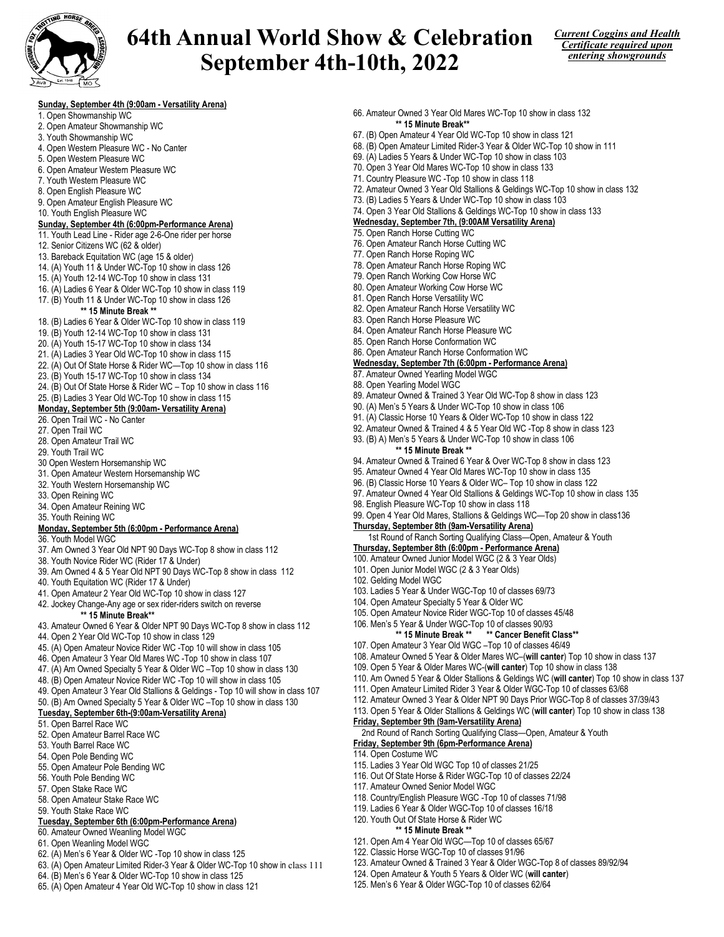

# 64th Annual World Show & Celebration September 4th-10th, 2022



### Sunday, September 4th (9:00am - Versatility Arena)

- 1. Open Showmanship WC
- 2. Open Amateur Showmanship WC
- 3. Youth Showmanship WC
- 4. Open Western Pleasure WC No Canter
- 5. Open Western Pleasure WC
- 6. Open Amateur Western Pleasure WC
- 7. Youth Western Pleasure WC
- 8. Open English Pleasure WC
- 9. Open Amateur English Pleasure WC
- 10. Youth English Pleasure WC

### Sunday, September 4th (6:00pm-Performance Arena)

- 11. Youth Lead Line Rider age 2-6-One rider per horse
- 12. Senior Citizens WC (62 & older)
- 13. Bareback Equitation WC (age 15 & older)
- 14. (A) Youth 11 & Under WC-Top 10 show in class 126
- 15. (A) Youth 12-14 WC-Top 10 show in class 131
- 16. (A) Ladies 6 Year & Older WC-Top 10 show in class 119 17. (B) Youth 11 & Under WC-Top 10 show in class 126
	- \*\* 15 Minute Break \*\*
- 18. (B) Ladies 6 Year & Older WC-Top 10 show in class 119
- 19. (B) Youth 12-14 WC-Top 10 show in class 131
- 20. (A) Youth 15-17 WC-Top 10 show in class 134
- 21. (A) Ladies 3 Year Old WC-Top 10 show in class 115
- 22. (A) Out Of State Horse & Rider WC—Top 10 show in class 116
- 23. (B) Youth 15-17 WC-Top 10 show in class 134
- 24. (B) Out Of State Horse & Rider WC Top 10 show in class 116
- 25. (B) Ladies 3 Year Old WC-Top 10 show in class 115

### Monday, September 5th (9:00am- Versatility Arena)

- 26. Open Trail WC No Canter
- 27. Open Trail WC
- 28. Open Amateur Trail WC
- 29. Youth Trail WC
- 30 Open Western Horsemanship WC
- 31. Open Amateur Western Horsemanship WC
- 32. Youth Western Horsemanship WC
- 33. Open Reining WC
- 34. Open Amateur Reining WC
- 35. Youth Reining WC

#### Monday, September 5th (6:00pm - Performance Arena)

- 36. Youth Model WGC
- 37. Am Owned 3 Year Old NPT 90 Days WC-Top 8 show in class 112
- 38. Youth Novice Rider WC (Rider 17 & Under)
- 39. Am Owned 4 & 5 Year Old NPT 90 Days WC-Top 8 show in class 112
- 40. Youth Equitation WC (Rider 17 & Under)
- 41. Open Amateur 2 Year Old WC-Top 10 show in class 127
- 42. Jockey Change-Any age or sex rider-riders switch on reverse \*\* 15 Minute Break\*\*
- 43. Amateur Owned 6 Year & Older NPT 90 Days WC-Top 8 show in class 112
- 44. Open 2 Year Old WC-Top 10 show in class 129
- 45. (A) Open Amateur Novice Rider WC -Top 10 will show in class 105
- 46. Open Amateur 3 Year Old Mares WC -Top 10 show in class 107
- 47. (A) Am Owned Specialty 5 Year & Older WC –Top 10 show in class 130
- 48. (B) Open Amateur Novice Rider WC -Top 10 will show in class 105
- 49. Open Amateur 3 Year Old Stallions & Geldings Top 10 will show in class 107
- 50. (B) Am Owned Specialty 5 Year & Older WC –Top 10 show in class 130

### Tuesday, September 6th-(9:00am-Versatility Arena)

- 51. Open Barrel Race WC
- 52. Open Amateur Barrel Race WC
- 53. Youth Barrel Race WC
- 54. Open Pole Bending WC
- 55. Open Amateur Pole Bending WC
- 56. Youth Pole Bending WC
- 57. Open Stake Race WC
- 58. Open Amateur Stake Race WC
- 59. Youth Stake Race WC

### Tuesday, September 6th (6:00pm-Performance Arena)

- 60. Amateur Owned Weanling Model WGC
- 61. Open Weanling Model WGC
- 62. (A) Men's 6 Year & Older WC -Top 10 show in class 125
- 63. (A) Open Amateur Limited Rider-3 Year & Older WC-Top 10 show in class 111
- 64. (B) Men's 6 Year & Older WC-Top 10 show in class 125
- 65. (A) Open Amateur 4 Year Old WC-Top 10 show in class 121
- 66. Amateur Owned 3 Year Old Mares WC-Top 10 show in class 132 \*\* 15 Minute Break\*\*
- 67. (B) Open Amateur 4 Year Old WC-Top 10 show in class 121
- 68. (B) Open Amateur Limited Rider-3 Year & Older WC-Top 10 show in 111
- 69. (A) Ladies 5 Years & Under WC-Top 10 show in class 103
- 70. Open 3 Year Old Mares WC-Top 10 show in class 133
- 71. Country Pleasure WC -Top 10 show in class 118
- 72. Amateur Owned 3 Year Old Stallions & Geldings WC-Top 10 show in class 132
- 73. (B) Ladies 5 Years & Under WC-Top 10 show in class 103
- 74. Open 3 Year Old Stallions & Geldings WC-Top 10 show in class 133
- Wednesday, September 7th, (9:00AM Versatility Arena)
- 75. Open Ranch Horse Cutting WC
- 76. Open Amateur Ranch Horse Cutting WC
- 77. Open Ranch Horse Roping WC
- 78. Open Amateur Ranch Horse Roping WC
- 79. Open Ranch Working Cow Horse WC
- 80. Open Amateur Working Cow Horse WC
- 81. Open Ranch Horse Versatility WC
- 82. Open Amateur Ranch Horse Versatility WC
- 83. Open Ranch Horse Pleasure WC
- 84. Open Amateur Ranch Horse Pleasure WC
- 85. Open Ranch Horse Conformation WC
- 86. Open Amateur Ranch Horse Conformation WC

### Wednesday, September 7th (6:00pm - Performance Arena)

93. (B) A) Men's 5 Years & Under WC-Top 10 show in class 106

87. Amateur Owned Yearling Model WGC

\*\* 15 Minute Break \*\*

98. English Pleasure WC-Top 10 show in class 118

Thursday, September 8th (9am-Versatility Arena)

Thursday, September 8th (6:00pm - Performance Arena) 100. Amateur Owned Junior Model WGC (2 & 3 Year Olds) 101. Open Junior Model WGC (2 & 3 Year Olds)

103. Ladies 5 Year & Under WGC-Top 10 of classes 69/73 104. Open Amateur Specialty 5 Year & Older WC

105. Open Amateur Novice Rider WGC-Top 10 of classes 45/48 106. Men's 5 Year & Under WGC-Top 10 of classes 90/93

107. Open Amateur 3 Year Old WGC –Top 10 of classes 46/49

Friday, September 9th (9am-Versatility Arena)

117. Amateur Owned Senior Model WGC

120. Youth Out Of State Horse & Rider WC \*\* 15 Minute Break \*\* 121. Open Am 4 Year Old WGC—Top 10 of classes 65/67 122. Classic Horse WGC-Top 10 of classes 91/96

Friday, September 9th (6pm-Performance Arena)

115. Ladies 3 Year Old WGC Top 10 of classes 21/25 116. Out Of State Horse & Rider WGC-Top 10 of classes 22/24

118. Country/English Pleasure WGC -Top 10 of classes 71/98 119. Ladies 6 Year & Older WGC-Top 10 of classes 16/18

124. Open Amateur & Youth 5 Years & Older WC (will canter) 125. Men's 6 Year & Older WGC-Top 10 of classes 62/64

88. Open Yearling Model WGC

102. Gelding Model WGC

114. Open Costume WC

89. Amateur Owned & Trained 3 Year Old WC-Top 8 show in class 123 90. (A) Men's 5 Years & Under WC-Top 10 show in class 106 91. (A) Classic Horse 10 Years & Older WC-Top 10 show in class 122

92. Amateur Owned & Trained 4 & 5 Year Old WC -Top 8 show in class 123

94. Amateur Owned & Trained 6 Year & Over WC-Top 8 show in class 123 95. Amateur Owned 4 Year Old Mares WC-Top 10 show in class 135 96. (B) Classic Horse 10 Years & Older WC– Top 10 show in class 122 97. Amateur Owned 4 Year Old Stallions & Geldings WC-Top 10 show in class 135

99. Open 4 Year Old Mares, Stallions & Geldings WC—Top 20 show in class136

1st Round of Ranch Sorting Qualifying Class—Open, Amateur & Youth

 $\dot{ }$  \*\* Cancer Benefit Class\*\*

108. Amateur Owned 5 Year & Older Mares WC–(will canter) Top 10 show in class 137 109. Open 5 Year & Older Mares WC-(will canter) Top 10 show in class 138

111. Open Amateur Limited Rider 3 Year & Older WGC-Top 10 of classes 63/68 112. Amateur Owned 3 Year & Older NPT 90 Days Prior WGC-Top 8 of classes 37/39/43 113. Open 5 Year & Older Stallions & Geldings WC (will canter) Top 10 show in class 138

2nd Round of Ranch Sorting Qualifying Class—Open, Amateur & Youth

123. Amateur Owned & Trained 3 Year & Older WGC-Top 8 of classes 89/92/94

110. Am Owned 5 Year & Older Stallions & Geldings WC (will canter) Top 10 show in class 137